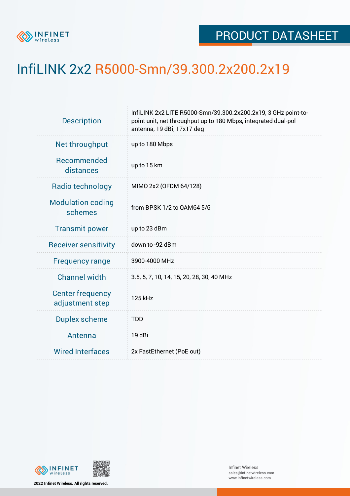

## InfiLINK 2x2 R5000-Smn/39.300.2x200.2x19

| <b>Description</b>                         | InfiLINK 2x2 LITE R5000-Smn/39.300.2x200.2x19, 3 GHz point-to-<br>point unit, net throughput up to 180 Mbps, integrated dual-pol<br>antenna, 19 dBi, 17x17 deg |  |  |  |  |
|--------------------------------------------|----------------------------------------------------------------------------------------------------------------------------------------------------------------|--|--|--|--|
| Net throughput                             | up to 180 Mbps                                                                                                                                                 |  |  |  |  |
| Recommended<br>distances                   | up to 15 km                                                                                                                                                    |  |  |  |  |
| Radio technology                           | MIMO 2x2 (OFDM 64/128)                                                                                                                                         |  |  |  |  |
| <b>Modulation coding</b><br>schemes        | from BPSK 1/2 to QAM64 5/6                                                                                                                                     |  |  |  |  |
| <b>Transmit power</b>                      | up to 23 dBm                                                                                                                                                   |  |  |  |  |
| <b>Receiver sensitivity</b>                | down to -92 dBm                                                                                                                                                |  |  |  |  |
| <b>Frequency range</b>                     | 3900-4000 MHz                                                                                                                                                  |  |  |  |  |
| <b>Channel width</b>                       | 3.5, 5, 7, 10, 14, 15, 20, 28, 30, 40 MHz                                                                                                                      |  |  |  |  |
| <b>Center frequency</b><br>adjustment step | 125 kHz                                                                                                                                                        |  |  |  |  |
| <b>Duplex scheme</b>                       | <b>TDD</b>                                                                                                                                                     |  |  |  |  |
| Antenna                                    | 19 dBi                                                                                                                                                         |  |  |  |  |
| <b>Wired Interfaces</b>                    | 2x FastEthernet (PoE out)                                                                                                                                      |  |  |  |  |



**2022 Infinet Wireless. All rights reserved.**

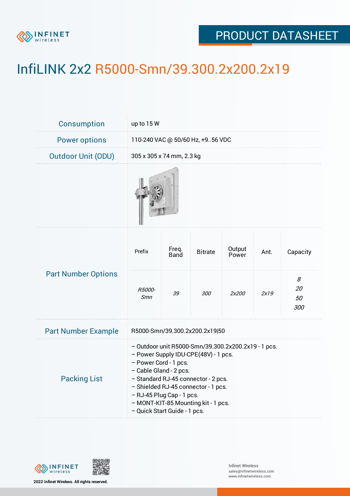

## PRODUCT DATASHEET

## InfiLINK 2x2 R5000-Smn/39.300.2x200.2x19

| Consumption                | up to 15 W                                                                                                                                                                                                                                                                                                                       |                           |                |                 |      |                      |  |  |
|----------------------------|----------------------------------------------------------------------------------------------------------------------------------------------------------------------------------------------------------------------------------------------------------------------------------------------------------------------------------|---------------------------|----------------|-----------------|------|----------------------|--|--|
| <b>Power options</b>       | 110-240 VAC @ 50/60 Hz, +956 VDC                                                                                                                                                                                                                                                                                                 |                           |                |                 |      |                      |  |  |
| <b>Outdoor Unit (ODU)</b>  |                                                                                                                                                                                                                                                                                                                                  | 305 x 305 x 74 mm, 2.3 kg |                |                 |      |                      |  |  |
|                            |                                                                                                                                                                                                                                                                                                                                  |                           |                |                 |      |                      |  |  |
| <b>Part Number Options</b> | Prefix                                                                                                                                                                                                                                                                                                                           | Freq.<br><b>Band</b>      | <b>Bitrate</b> | Output<br>Power | Ant. | Capacity             |  |  |
|                            | R5000-<br>Smn                                                                                                                                                                                                                                                                                                                    | 39                        | 300            | 2x200           | 2x19 | 8<br>20<br>50<br>300 |  |  |
| <b>Part Number Example</b> | R5000-Smn/39.300.2x200.2x19 50                                                                                                                                                                                                                                                                                                   |                           |                |                 |      |                      |  |  |
| <b>Packing List</b>        | - Outdoor unit R5000-Smn/39.300.2x200.2x19 - 1 pcs.<br>- Power Supply IDU-CPE(48V) - 1 pcs.<br>- Power Cord - 1 pcs.<br>- Cable Gland - 2 pcs.<br>- Standard RJ-45 connector - 2 pcs.<br>- Shielded RJ-45 connector - 1 pcs.<br>- RJ-45 Plug Cap - 1 pcs.<br>- MONT-KIT-85 Mounting kit - 1 pcs.<br>- Quick Start Guide - 1 pcs. |                           |                |                 |      |                      |  |  |



**2022 Infinet Wireless. All rights reserved.**

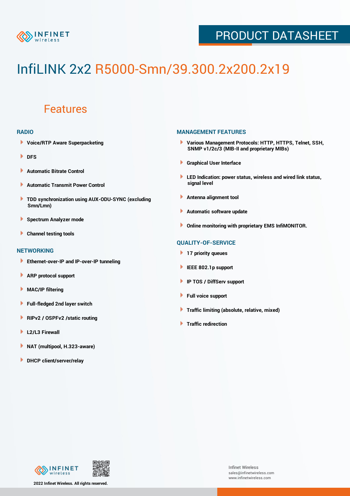

## PRODUCT DATASHEET

# InfiLINK 2x2 R5000-Smn/39.300.2x200.2x19

### Features

#### **RADIO**

- **Voice/RTP Aware Superpacketing**
- **DFS**
- **Automatic Bitrate Control** Þ
- Þ **Automatic Transmit Power Control**
- ь **TDD synchronization using AUX-ODU-SYNC (excluding Smn/Lmn)**
- **Spectrum Analyzer mode** ۰
- **Channel testing tools** ١

#### **NETWORKING**

- **Ethernet-over-IP and IP-over-IP tunneling**
- Þ **ARP protocol support**
- ۱ **MAC/IP filtering**
- Þ **Full-fledged 2nd layer switch**
- Þ **RIPv2 / OSPFv2 /static routing**
- **L2/L3 Firewall** Þ
- **NAT (multipool, H.323-aware)** Þ
- Þ **DHCP client/server/relay**

#### **MANAGEMENT FEATURES**

- **Various Management Protocols: HTTP, HTTPS, Telnet, SSH, SNMP v1/2c/3 (MIB-II and proprietary MIBs)**
- **Graphical User Interface**
- **LED Indication: power status, wireless and wired link status, signal level**
- **Antenna alignment tool**
- ٠ **Automatic software update**
- **Online monitoring with proprietary EMS InfiMONITOR.**

#### **QUALITY-OF-SERVICE**

- **17 priority queues**
- **IEEE 802.1p support**
- **IP TOS / DiffServ support**
- ٠ **Full voice support**
- **Traffic limiting (absolute, relative, mixed)** ٠
- **Traffic redirection**